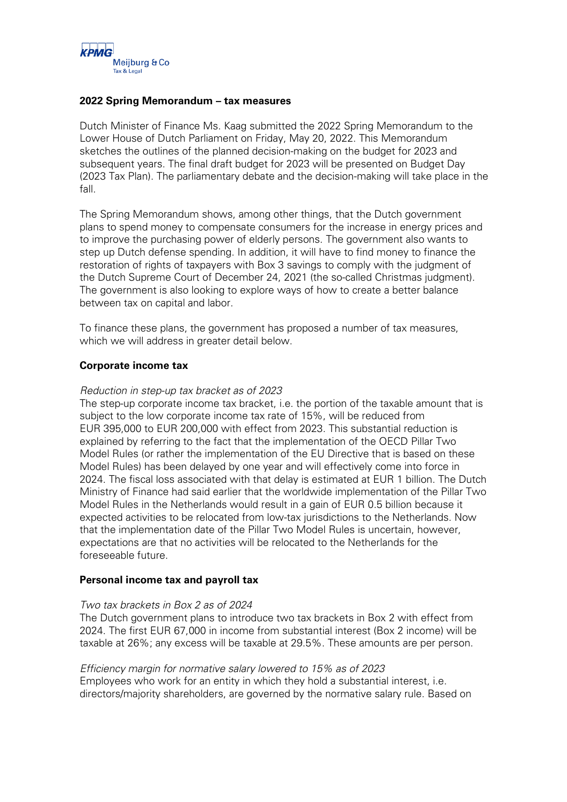

## **2022 Spring Memorandum – tax measures**

Dutch Minister of Finance Ms. Kaag submitted the 2022 Spring Memorandum to the Lower House of Dutch Parliament on Friday, May 20, 2022. This Memorandum sketches the outlines of the planned decision-making on the budget for 2023 and subsequent years. The final draft budget for 2023 will be presented on Budget Day (2023 Tax Plan). The parliamentary debate and the decision-making will take place in the fall.

The Spring Memorandum shows, among other things, that the Dutch government plans to spend money to compensate consumers for the increase in energy prices and to improve the purchasing power of elderly persons. The government also wants to step up Dutch defense spending. In addition, it will have to find money to finance the restoration of rights of taxpayers with Box 3 savings to comply with the judgment of the Dutch Supreme Court of December 24, 2021 (the so-called Christmas judgment). The government is also looking to explore ways of how to create a better balance between tax on capital and labor.

To finance these plans, the government has proposed a number of tax measures, which we will address in greater detail below.

## **Corporate income tax**

## Reduction in step-up tax bracket as of 2023

The step-up corporate income tax bracket, i.e. the portion of the taxable amount that is subject to the low corporate income tax rate of 15%, will be reduced from EUR 395,000 to EUR 200,000 with effect from 2023. This substantial reduction is explained by referring to the fact that the implementation of the OECD Pillar Two Model Rules (or rather the implementation of the EU Directive that is based on these Model Rules) has been delayed by one year and will effectively come into force in 2024. The fiscal loss associated with that delay is estimated at EUR 1 billion. The Dutch Ministry of Finance had said earlier that the worldwide implementation of the Pillar Two Model Rules in the Netherlands would result in a gain of EUR 0.5 billion because it expected activities to be relocated from low-tax jurisdictions to the Netherlands. Now that the implementation date of the Pillar Two Model Rules is uncertain, however, expectations are that no activities will be relocated to the Netherlands for the foreseeable future.

## **Personal income tax and payroll tax**

#### Two tax brackets in Box 2 as of 2024

The Dutch government plans to introduce two tax brackets in Box 2 with effect from 2024. The first EUR 67,000 in income from substantial interest (Box 2 income) will be taxable at 26%; any excess will be taxable at 29.5%. These amounts are per person.

## Efficiency margin for normative salary lowered to 15% as of 2023

Employees who work for an entity in which they hold a substantial interest, i.e. directors/majority shareholders, are governed by the normative salary rule. Based on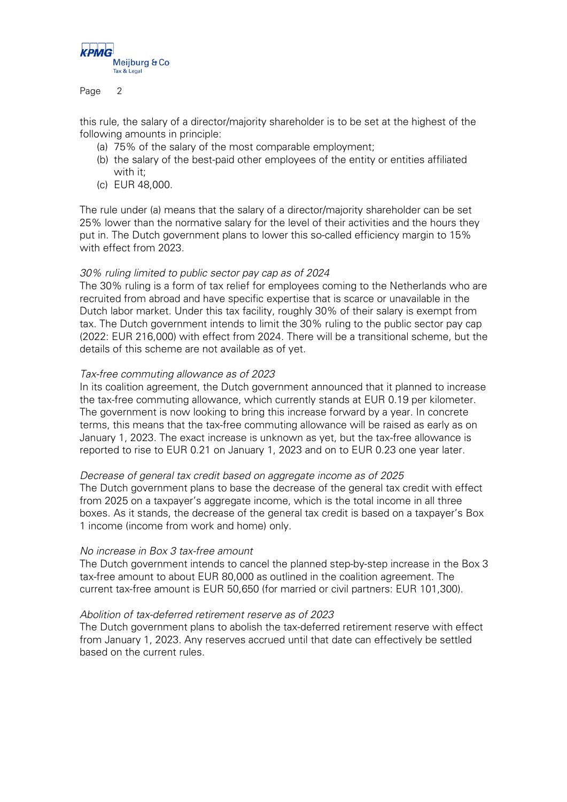

Page 2

this rule, the salary of a director/majority shareholder is to be set at the highest of the following amounts in principle:

- (a) 75% of the salary of the most comparable employment;
- (b) the salary of the best-paid other employees of the entity or entities affiliated with it;
- (c) EUR 48,000.

The rule under (a) means that the salary of a director/majority shareholder can be set 25% lower than the normative salary for the level of their activities and the hours they put in. The Dutch government plans to lower this so-called efficiency margin to 15% with effect from 2023.

## 30% ruling limited to public sector pay cap as of 2024

The 30% ruling is a form of tax relief for employees coming to the Netherlands who are recruited from abroad and have specific expertise that is scarce or unavailable in the Dutch labor market. Under this tax facility, roughly 30% of their salary is exempt from tax. The Dutch government intends to limit the 30% ruling to the public sector pay cap (2022: EUR 216,000) with effect from 2024. There will be a transitional scheme, but the details of this scheme are not available as of yet.

## Tax-free commuting allowance as of 2023

In its coalition agreement, the Dutch government announced that it planned to increase the tax-free commuting allowance, which currently stands at EUR 0.19 per kilometer. The government is now looking to bring this increase forward by a year. In concrete terms, this means that the tax-free commuting allowance will be raised as early as on January 1, 2023. The exact increase is unknown as yet, but the tax-free allowance is reported to rise to EUR 0.21 on January 1, 2023 and on to EUR 0.23 one year later.

#### Decrease of general tax credit based on aggregate income as of 2025

The Dutch government plans to base the decrease of the general tax credit with effect from 2025 on a taxpayer's aggregate income, which is the total income in all three boxes. As it stands, the decrease of the general tax credit is based on a taxpayer's Box 1 income (income from work and home) only.

#### No increase in Box 3 tax-free amount

The Dutch government intends to cancel the planned step-by-step increase in the Box 3 tax-free amount to about EUR 80,000 as outlined in the coalition agreement. The current tax-free amount is EUR 50,650 (for married or civil partners: EUR 101,300).

#### Abolition of tax-deferred retirement reserve as of 2023

The Dutch government plans to abolish the tax-deferred retirement reserve with effect from January 1, 2023. Any reserves accrued until that date can effectively be settled based on the current rules.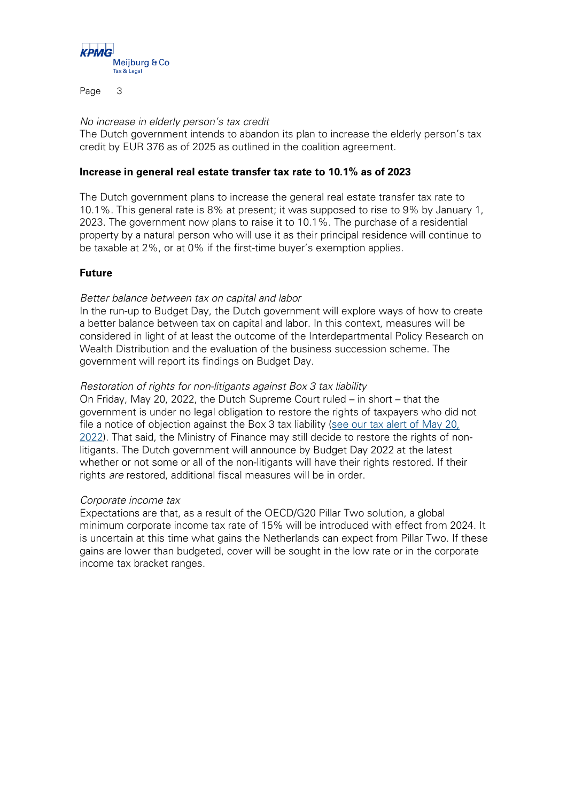

Page 3

## No increase in elderly person's tax credit

The Dutch government intends to abandon its plan to increase the elderly person's tax credit by EUR 376 as of 2025 as outlined in the coalition agreement.

## **Increase in general real estate transfer tax rate to 10.1% as of 2023**

The Dutch government plans to increase the general real estate transfer tax rate to 10.1%. This general rate is 8% at present; it was supposed to rise to 9% by January 1, 2023. The government now plans to raise it to 10.1%. The purchase of a residential property by a natural person who will use it as their principal residence will continue to be taxable at 2%, or at 0% if the first-time buyer's exemption applies.

# **Future**

## Better balance between tax on capital and labor

In the run-up to Budget Day, the Dutch government will explore ways of how to create a better balance between tax on capital and labor. In this context, measures will be considered in light of at least the outcome of the Interdepartmental Policy Research on Wealth Distribution and the evaluation of the business succession scheme. The government will report its findings on Budget Day.

## Restoration of rights for non-litigants against Box 3 tax liability

On Friday, May 20, 2022, the Dutch Supreme Court ruled – in short – that the government is under no legal obligation to restore the rights of taxpayers who did not file a notice of objection against the Box 3 tax liability [\(see our tax alert of May 20,](https://meijburg.com/news/supreme-court-rules-ex-officio-reduction-and-settlement-box-3-class-action)  [2022\)](https://meijburg.com/news/supreme-court-rules-ex-officio-reduction-and-settlement-box-3-class-action). That said, the Ministry of Finance may still decide to restore the rights of nonlitigants. The Dutch government will announce by Budget Day 2022 at the latest whether or not some or all of the non-litigants will have their rights restored. If their rights are restored, additional fiscal measures will be in order.

## Corporate income tax

Expectations are that, as a result of the OECD/G20 Pillar Two solution, a global minimum corporate income tax rate of 15% will be introduced with effect from 2024. It is uncertain at this time what gains the Netherlands can expect from Pillar Two. If these gains are lower than budgeted, cover will be sought in the low rate or in the corporate income tax bracket ranges.